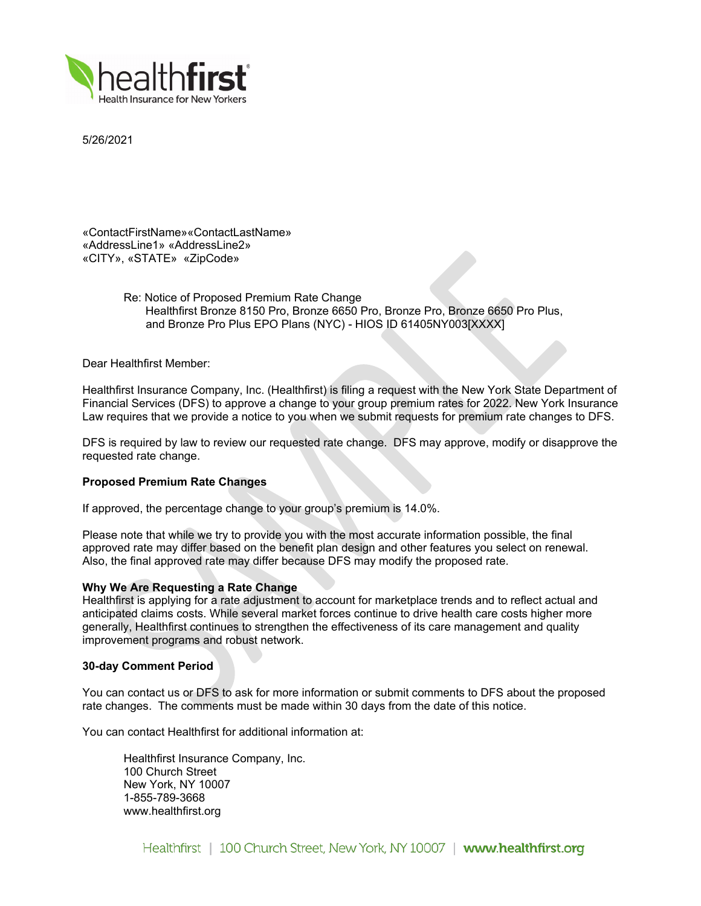

5/26/2021

«ContactFirstName»«ContactLastName» «AddressLine1» «AddressLine2» «CITY», «STATE» «ZipCode»

> Re: Notice of Proposed Premium Rate Change Healthfirst Bronze 8150 Pro, Bronze 6650 Pro, Bronze Pro, Bronze 6650 Pro Plus. and Bronze Pro Plus EPO Plans (NYC) - HIOS ID 61405NY003[XXXX]

Dear Healthfirst Member:

Healthfirst Insurance Company, Inc. (Healthfirst) is filing a request with the New York State Department of Financial Services (DFS) to approve a change to your group premium rates for 2022. New York Insurance Law requires that we provide a notice to you when we submit requests for premium rate changes to DFS.

DFS is required by law to review our requested rate change. DFS may approve, modify or disapprove the requested rate change.

# **Proposed Premium Rate Changes**

If approved, the percentage change to your group's premium is 14.0%.

Please note that while we try to provide you with the most accurate information possible, the final approved rate may differ based on the benefit plan design and other features you select on renewal. Also, the final approved rate may differ because DFS may modify the proposed rate.

### **Why We Are Requesting a Rate Change**

Healthfirst is applying for a rate adjustment to account for marketplace trends and to reflect actual and anticipated claims costs. While several market forces continue to drive health care costs higher more generally, Healthfirst continues to strengthen the effectiveness of its care management and quality improvement programs and robust network.

### **30-day Comment Period**

You can contact us or DFS to ask for more information or submit comments to DFS about the proposed rate changes. The comments must be made within 30 days from the date of this notice.

You can contact Healthfirst for additional information at:

Healthfirst Insurance Company, Inc. 100 Church Street New York, NY 10007 1-855-789-3668 www.healthfirst.org